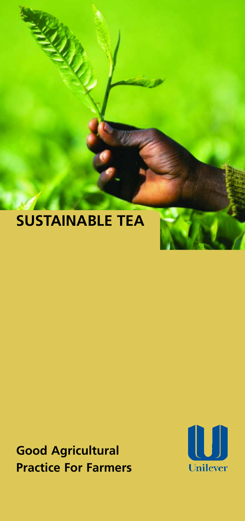# **SUSTAINABLE TEA**

**RANCE** 

**Good Agricultural Practice For Farmers** 

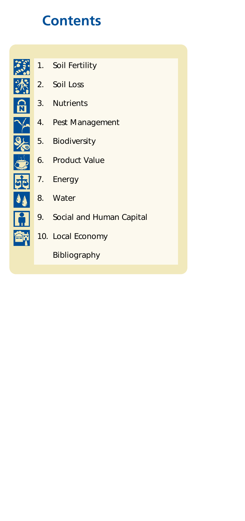## **Contents**



- [1. Soil Fertility](#page-3-0)
- 2. Soil Loss
- [3. Nutrients](#page-5-0)
- [4. Pest Management](#page-6-0)
- [5. Biodiversity](#page-7-0)
- [6. Product Value](#page-7-0)
- [7. Energy](#page-8-0)
- [8. Water](#page-8-0)
- 9. Social and Human Capital
- 10. Local Economy

[Bibliography](#page-10-0)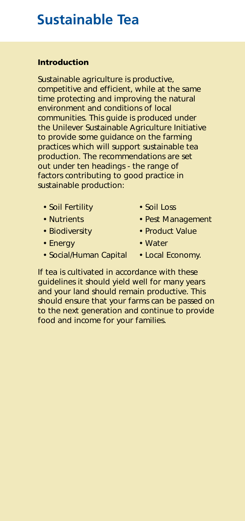## **Sustainable Tea**

### **Introduction**

Sustainable agriculture is productive, competitive and efficient, while at the same time protecting and improving the natural environment and conditions of local communities. This guide is produced under the Unilever Sustainable Agriculture Initiative to provide some guidance on the farming practices which will support sustainable tea production. The recommendations are set out under ten headings - the range of factors contributing to good practice in sustainable production:

- [Soil Fertility](#page-3-0)  Soil Loss
- 
- 
- Energy  **Water**
- Social/Human Capital Local Economy.
- 
- [Nutrients](#page-5-0)  Pest Management
- Biodiversity Product Value
	-
	-

If tea is cultivated in accordance with these guidelines it should yield well for many years and your land should remain productive. This should ensure that your farms can be passed on to the next generation and continue to provide food and income for your families.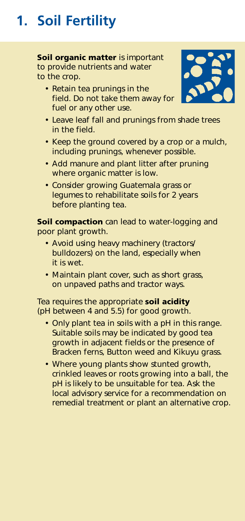# <span id="page-3-0"></span>**1. Soil Fertility**

**Soil organic matter** is important to provide nutrients and water to the crop.

• Retain tea prunings in the field. Do not take them away for fuel or any other use.



- Leave leaf fall and prunings from shade trees in the field.
- Keep the ground covered by a crop or a mulch, including prunings, whenever possible.
- Add manure and plant litter after pruning where organic matter is low.
- Consider growing Guatemala grass or legumes to rehabilitate soils for 2 years before planting tea.

**Soil compaction** can lead to water-logging and poor plant growth.

- Avoid using heavy machinery (tractors/ bulldozers) on the land, especially when it is wet.
- Maintain plant cover, such as short grass, on unpaved paths and tractor ways.

Tea requires the appropriate **soil acidity**  (pH between 4 and 5.5) for good growth.

- Only plant tea in soils with a pH in this range. Suitable soils may be indicated by good tea growth in adjacent fields or the presence of Bracken ferns, Button weed and Kikuyu grass.
- Where young plants show stunted growth, crinkled leaves or roots growing into a ball, the pH is likely to be unsuitable for tea. Ask the local advisory service for a recommendation on remedial treatment or plant an alternative crop.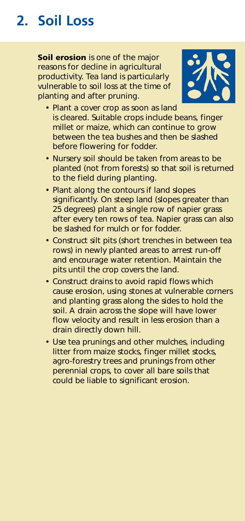# <span id="page-4-0"></span>**2. Soil Loss**

**Soil erosion** is one of the major reasons for decline in agricultural productivity. Tea land is particularly vulnerable to soil loss at the time of planting and after pruning.



- Plant a cover crop as soon as land is cleared. Suitable crops include beans, finger millet or maize, which can continue to grow between the tea bushes and then be slashed before flowering for fodder.
- Nursery soil should be taken from areas to be planted (not from forests) so that soil is returned to the field during planting.
- Plant along the contours if land slopes significantly. On steep land (slopes greater than 25 degrees) plant a single row of napier grass after every ten rows of tea. Napier grass can also be slashed for mulch or for fodder.
- Construct silt pits (short trenches in between tea rows) in newly planted areas to arrest run-off and encourage water retention. Maintain the pits until the crop covers the land.
- Construct drains to avoid rapid flows which cause erosion, using stones at vulnerable corners and planting grass along the sides to hold the soil. A drain across the slope will have lower flow velocity and result in less erosion than a drain directly down hill.
- Use tea prunings and other mulches, including litter from maize stocks, finger millet stocks, agro-forestry trees and prunings from other perennial crops, to cover all bare soils that could be liable to significant erosion.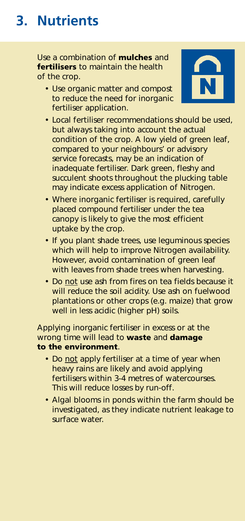## <span id="page-5-0"></span>**3. Nutrients**

Use a combination of **mulches** and **fertilisers** to maintain the health of the crop.

• Use organic matter and compost to reduce the need for inorganic fertiliser application.



- Local fertiliser recommendations should be used, but always taking into account the actual condition of the crop. A low yield of green leaf, compared to your neighbours' or advisory service forecasts, may be an indication of inadequate fertiliser. Dark green, fleshy and succulent shoots throughout the plucking table may indicate excess application of Nitrogen.
- Where inorganic fertiliser is required, carefully placed compound fertiliser under the tea canopy is likely to give the most efficient uptake by the crop.
- If you plant shade trees, use leguminous species which will help to improve Nitrogen availability. However, avoid contamination of green leaf with leaves from shade trees when harvesting.
- Do not use ash from fires on tea fields because it will reduce the soil acidity. Use ash on fuelwood plantations or other crops (e.g. maize) that grow well in less acidic (higher pH) soils.

Applying inorganic fertiliser in excess or at the wrong time will lead to **waste** and **damage to the environment**.

- Do not apply fertiliser at a time of year when heavy rains are likely and avoid applying fertilisers within 3-4 metres of watercourses. This will reduce losses by run-off.
- Algal blooms in ponds within the farm should be investigated, as they indicate nutrient leakage to surface water.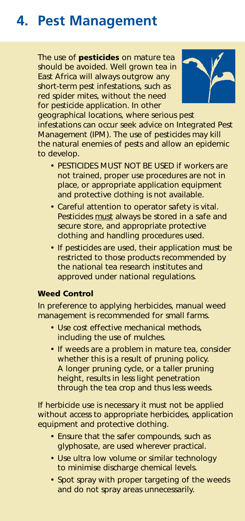## <span id="page-6-0"></span>**4. Pest Management**

The use of **pesticides** on mature tea should be avoided. Well grown tea in East Africa will always outgrow any short-term pest infestations, such as red spider mites, without the need for pesticide application. In other



geographical locations, where serious pest infestations can occur seek advice on Integrated Pest Management (IPM). The use of pesticides may kill the natural enemies of pests and allow an epidemic to develop.

- PESTICIDES MUST NOT BE USED if workers are not trained, proper use procedures are not in place, or appropriate application equipment and protective clothing is not available.
- Careful attention to operator safety is vital. Pesticides must always be stored in a safe and secure store, and appropriate protective clothing and handling procedures used.
- If pesticides are used, their application must be restricted to those products recommended by the national tea research institutes and approved under national regulations.

### **Weed Control**

In preference to applying herbicides, manual weed management is recommended for small farms.

- Use cost effective mechanical methods, including the use of mulches.
- If weeds are a problem in mature tea, consider whether this is a result of pruning policy. A longer pruning cycle, or a taller pruning height, results in less light penetration through the tea crop and thus less weeds.

If herbicide use is necessary it must not be applied without access to appropriate herbicides, application equipment and protective clothing.

- Ensure that the safer compounds, such as glyphosate, are used wherever practical.
- Use ultra low volume or similar technology to minimise discharge chemical levels.
- Spot spray with proper targeting of the weeds and do not spray areas unnecessarily.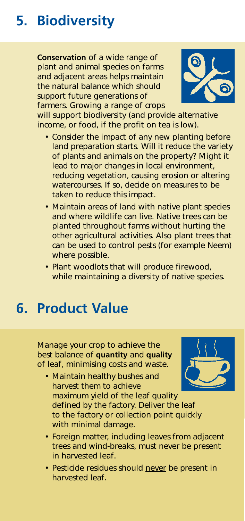# <span id="page-7-0"></span>**5. Biodiversity**

**Conservation** of a wide range of plant and animal species on farms and adjacent areas helps maintain the natural balance which should support future generations of farmers. Growing a range of crops



will support biodiversity (and provide alternative income, or food, if the profit on tea is low).

- Consider the impact of any new planting before land preparation starts. Will it reduce the variety of plants and animals on the property? Might it lead to major changes in local environment, reducing vegetation, causing erosion or altering watercourses. If so, decide on measures to be taken to reduce this impact.
- Maintain areas of land with native plant species and where wildlife can live. Native trees can be planted throughout farms without hurting the other agricultural activities. Also plant trees that can be used to control pests (for example Neem) where possible.
- Plant woodlots that will produce firewood, while maintaining a diversity of native species.

### **6. Product Value**

Manage your crop to achieve the best balance of **quantity** and **quality**  of leaf, minimising costs and waste.



- Maintain healthy bushes and harvest them to achieve maximum yield of the leaf quality defined by the factory. Deliver the leaf to the factory or collection point quickly with minimal damage.
- Foreign matter, including leaves from adjacent trees and wind-breaks, must never be present in harvested leaf.
- Pesticide residues should never be present in harvested leaf.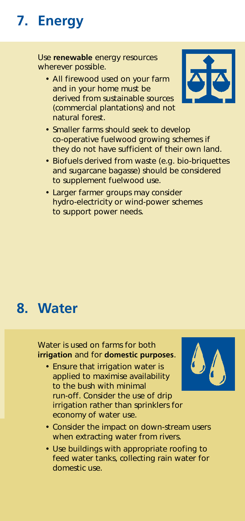# <span id="page-8-0"></span>**7. Energy**

Use **renewable** energy resources wherever possible.

• All firewood used on your farm and in your home must be derived from sustainable sources (commercial plantations) and not natural forest.



- Smaller farms should seek to develop co-operative fuelwood growing schemes if they do not have sufficient of their own land.
- Biofuels derived from waste (e.g. bio-briquettes and sugarcane bagasse) should be considered to supplement fuelwood use.
- Larger farmer groups may consider hydro-electricity or wind-power schemes to support power needs.

### **8. Water**

Water is used on farms for both **irrigation** and for **domestic purposes**.

• Ensure that irrigation water is applied to maximise availability to the bush with minimal run-off. Consider the use of drip irrigation rather than sprinklers for economy of water use.



- Consider the impact on down-stream users when extracting water from rivers.
- Use buildings with appropriate roofing to feed water tanks, collecting rain water for domestic use.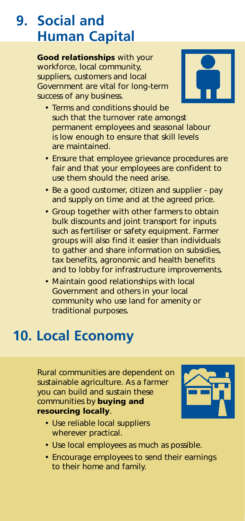## <span id="page-9-0"></span>**9. Social and Human Capital**

**Good relationships** with your workforce, local community, suppliers, customers and local Government are vital for long-term success of any business.



- Terms and conditions should be such that the turnover rate amongst permanent employees and seasonal labour is low enough to ensure that skill levels are maintained.
- Ensure that employee grievance procedures are fair and that your employees are confident to use them should the need arise.
- Be a good customer, citizen and supplier pay and supply on time and at the agreed price.
- Group together with other farmers to obtain bulk discounts and joint transport for inputs such as fertiliser or safety equipment. Farmer groups will also find it easier than individuals to gather and share information on subsidies, tax benefits, agronomic and health benefits and to lobby for infrastructure improvements.
- Maintain good relationships with local Government and others in your local community who use land for amenity or traditional purposes.

## **10. Local Economy**

Rural communities are dependent on sustainable agriculture. As a farmer you can build and sustain these communities by **buying and resourcing locally**.



- Use reliable local suppliers wherever practical.
- Use local employees as much as possible.
- Encourage employees to send their earnings to their home and family.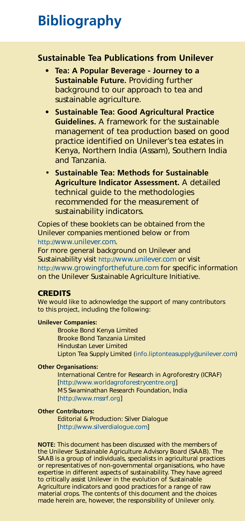## <span id="page-10-0"></span>**Bibliography**

### **Sustainable Tea Publications from Unilever**

- **Tea: A Popular Beverage Journey to a Sustainable Future.** Providing further background to our approach to tea and sustainable agriculture.
- **Sustainable Tea: Good Agricultural Practice Guidelines.** A framework for the sustainable management of tea production based on good practice identified on Unilever's tea estates in Kenya, Northern India (Assam), Southern India and Tanzania.
- **Sustainable Tea: Methods for Sustainable Agriculture Indicator Assessment.** A detailed technical guide to the methodologies recommended for the measurement of sustainability indicators.

Copies of these booklets can be obtained from the Unilever companies mentioned below or from [http://www.unilever.com.](http://www.unilever.com) 

For more general background on Unilever and Sustainability visi[t http://www.unilever.com](http://www.unilever.com) or visit <http://www.growingforthefuture.com>for specific information on the Unilever Sustainable Agriculture Initiative.

#### **CREDITS**

We would like to acknowledge the support of many contributors to this project, including the following:

#### **Unilever Companies:**

Brooke Bond Kenya Limited Brooke Bond Tanzania Limited Hindustan Lever Limited [Lipton Tea Supply Limited \(info.liptonteasupply@unilever.com\)](mailto:info.liptonteasupply@unilever.com) 

#### **Other Organisations:**

International Centre for Research in Agroforestry (ICRAF) [\[http://www.worldagroforestrycentre.org\]](http://www.worldagroforestrycentre.org)  MS Swaminathan Research Foundation, India [\[http://www.mssrf.org\]](http://www.mssrf.org) 

#### **Other Contributors:**

Editorial & Production: Silver Dialogue [\[http://www.silverdialogue.com\]](http://www.silverdialogue.com) 

**NOTE:** This document has been discussed with the members of the Unilever Sustainable Agriculture Advisory Board (SAAB). The SAAB is a group of individuals, specialists in agricultural practices or representatives of non-governmental organisations, who have expertise in different aspects of sustainability. They have agreed to critically assist Unilever in the evolution of Sustainable Agriculture indicators and good practices for a range of raw material crops. The contents of this document and the choices made herein are, however, the responsibility of Unilever only.